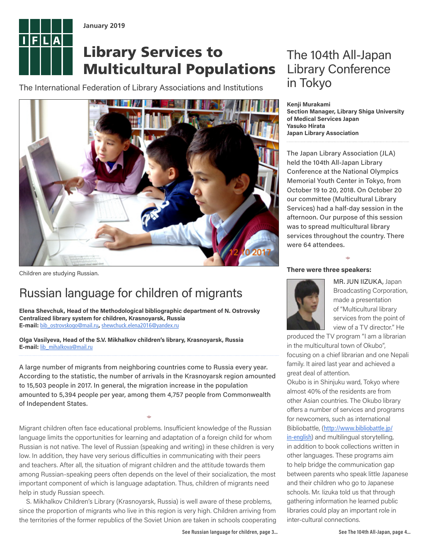

**January 2019**

## Library Services to Multicultural Populations

The International Federation of Library Associations and Institutions



Children are studying Russian.

### Russian language for children of migrants

**Elena Shevchuk, Head of the Methodological bibliographic department of N. Ostrovsky Centralized library system for children, Krasnoyarsk, Russia E-mail:** [bib\\_ostrovskogo@mail.ru](mailto:bib_ostrovskogo@mail.ru)**,** [shewchuck.elena2016@yandex.ru](mailto:shewchuck.elena2016@yandex.ru)

**Olga Vasilyeva, Head of the S.V. Mikhalkov children's library, Krasnoyarsk, Russia E-mail:** [lib\\_mihalkova@mail.ru](mailto:lib_mihalkova@mail.ru)

A large number of migrants from neighboring countries come to Russia every year. According to the statistic, the number of arrivals in the Krasnoyarsk region amounted to 15,503 people in 2017. In general, the migration increase in the population amounted to 5,394 people per year, among them 4,757 people from Commonwealth of Independent States.

 $\Leftrightarrow$ 

Migrant children often face educational problems. Insufficient knowledge of the Russian language limits the opportunities for learning and adaptation of a foreign child for whom Russian is not native. The level of Russian (speaking and writing) in these children is very low. In addition, they have very serious difficulties in communicating with their peers and teachers. After all, the situation of migrant children and the attitude towards them among Russian-speaking peers often depends on the level of their socialization, the most important component of which is language adaptation. Thus, children of migrants need help in study Russian speech.

S. Mikhalkov Children's Library (Krasnoyarsk, Russia) is well aware of these problems, since the proportion of migrants who live in this region is very high. Children arriving from the territories of the former republics of the Soviet Union are taken in schools cooperating

between parents who speak little Japanese and their children who go to Japanese schools. Mr. Iizuka told us that through gathering information he learned public libraries could play an important role in inter-cultural connections.

### The 104th All-Japan Library Conference in Tokyo

**Kenji Murakami Section Manager, Library Shiga University of Medical Services Japan Yasuko Hirata Japan Library Association**

The Japan Library Association (JLA) held the 104th All-Japan Library Conference at the National Olympics Memorial Youth Center in Tokyo, from October 19 to 20, 2018. On October 20 our committee (Multicultural Library Services) had a half-day session in the afternoon. Our purpose of this session was to spread multicultural library services throughout the country. There were 64 attendees.

 $\Leftrightarrow$ 

#### **There were three speakers:**



MR. JUN IIZUKA, Japan Broadcasting Corporation, made a presentation of "Multicultural library services from the point of view of a TV director." He

produced the TV program "I am a librarian in the multicultural town of Okubo", focusing on a chief librarian and one Nepali family. It aired last year and achieved a great deal of attention.

Okubo is in Shinjuku ward, Tokyo where almost 40% of the residents are from other Asian countries. The Okubo library offers a number of services and programs for newcomers, such as international Bibliobattle, ([http://www.bibliobattle.jp/](http://www.bibliobattle.jp/in-english) [in-english](http://www.bibliobattle.jp/in-english)) and multilingual storytelling, in addition to book collections written in other languages. These programs aim to help bridge the communication gap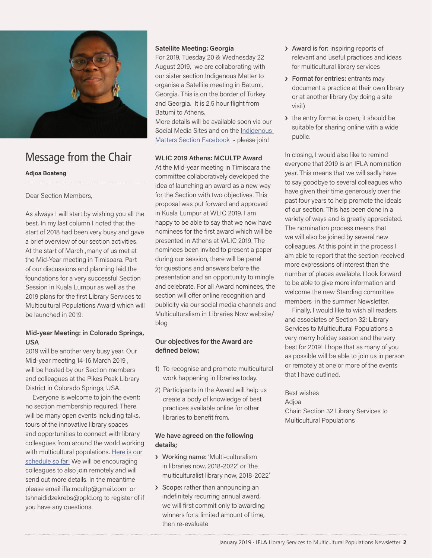

### Message from the Chair

#### **Adjoa Boateng**

Dear Section Members,

As always I will start by wishing you all the best. In my last column I noted that the start of 2018 had been very busy and gave a brief overview of our section activities. At the start of March ,many of us met at the Mid-Year meeting in Timisoara. Part of our discussions and planning laid the foundations for a very successful Section Session in Kuala Lumpur as well as the 2019 plans for the first Library Services to Multicultural Populations Award which will be launched in 2019.

### **Mid-year Meeting: in Colorado Springs, USA**

2019 will be another very busy year. Our Mid-year meeting 14-16 March 2019 , will be hosted by our Section members and colleagues at the Pikes Peak Library District in Colorado Springs, USA.

Everyone is welcome to join the event; no section membership required. There will be many open events including talks, tours of the innovative library spaces and opportunities to connect with library colleagues from around the world working with multicultural populations. [Here is our](https://www.ifla.org/node/91751) [schedule so far!](https://www.ifla.org/node/91751) We will be encouraging colleagues to also join remotely and will send out more details. In the meantime please email ifla.mcultp@gmail.com or tshnaididzekrebs@ppld.org to register of if you have any questions.

#### **Satellite Meeting: Georgia**

For 2019, Tuesday 20 & Wednesday 22 August 2019, we are collaborating with our sister section Indigenous Matter to organise a Satellite meeting in Batumi, Georgia. This is on the border of Turkey and Georgia. It is 2.5 hour flight from Batumi to Athens.

More details will be available soon via our Social Media Sites and on the Indigenous [Matters Section Facebook](https://www.facebook.com/groups/ifla-indigenous-matters-section-66990630010/) - please join!

#### **WLIC 2019 Athens: MCULTP Award**

At the Mid-year meeting in Timisoara the committee collaboratively developed the idea of launching an award as a new way for the Section with two objectives. This proposal was put forward and approved in Kuala Lumpur at WLIC 2019. I am happy to be able to say that we now have nominees for the first award which will be presented in Athens at WLIC 2019. The nominees been invited to present a paper during our session, there will be panel for questions and answers before the presentation and an opportunity to mingle and celebrate. For all Award nominees, the section will offer online recognition and publicity via our social media channels and Multiculturalism in Libraries Now website/ blog

### **Our objectives for the Award are defined below;**

- 1) To recognise and promote multicultural work happening in libraries today.
- 2) Participants in the Award will help us create a body of knowledge of best practices available online for other libraries to benefit from.

#### **We have agreed on the following details;**

- › Working name: 'Multi-culturalism in libraries now, 2018-2022' or 'the multiculturalist library now, 2018-2022'
- › Scope: rather than announcing an indefinitely recurring annual award, we will first commit only to awarding winners for a limited amount of time, then re-evaluate
- › Award is for: inspiring reports of relevant and useful practices and ideas for multicultural library services
- › Format for entries: entrants may document a practice at their own library or at another library (by doing a site visit)
- › the entry format is open; it should be suitable for sharing online with a wide public.

In closing, I would also like to remind everyone that 2019 is an IFLA nomination year. This means that we will sadly have to say goodbye to several colleagues who have given their time generously over the past four years to help promote the ideals of our section. This has been done in a variety of ways and is greatly appreciated. The nomination process means that we will also be joined by several new colleagues. At this point in the process I am able to report that the section received more expressions of interest than the number of places available. I look forward to be able to give more information and welcome the new Standing committee members in the summer Newsletter.

Finally, I would like to wish all readers and associates of Section 32: Library Services to Multicultural Populations a very merry holiday season and the very best for 2019! I hope that as many of you as possible will be able to join us in person or remotely at one or more of the events that I have outlined.

Best wishes **Adioa** Chair: Section 32 Library Services to Multicultural Populations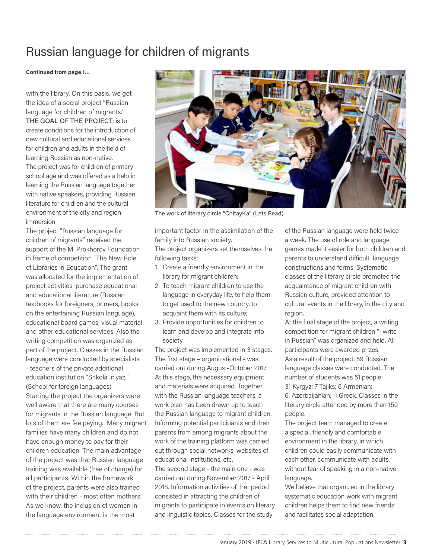### Russian language for children of migrants

#### **Continued from page 1…**

with the library. On this basis, we got the idea of a social project "Russian language for children of migrants." THE GOAL OF THE PROJECT: is to create conditions for the introduction of new cultural and educational services for children and adults in the field of learning Russian as non-native. The project was for children of primary school age and was offered as a help in learning the Russian language together with native speakers, providing Russian

literature for children and the cultural environment of the city and region immersion.

The project "Russian language for children of migrants" received the support of the M. Prokhorov Foundation in frame of competition "The New Role of Libraries in Education". The grant was allocated for the implementation of project activities: purchase educational and educational literature (Russian textbooks for foreigners, primers, books on the entertaining Russian language), educational board games, visual material and other educational services. Also the writing competition was organized as part of the project. Classes in the Russian language were conducted by specialists - teachers of the private additional education institution "Shkola In.yaz." (School for foreign languages). Starting the project the organizers were well aware that there are many courses for migrants in the Russian language. But lots of them are fee paying. Many migrant families have many children and do not have enough money to pay for their children education. The main advantage of the project was that Russian language training was available (free of charge) for all participants. Within the framework of the project, parents were also trained with their children - most often mothers. As we know, the inclusion of women in the language environment is the most



The work of literary circle "ChitayKa" (Lets Read)

important factor in the assimilation of the family into Russian society. The project organizers set themselves the following tasks:

- 1. Create a friendly environment in the library for migrant children;
- 2. To teach migrant children to use the language in everyday life, to help them to get used to the new country, to acquaint them with its culture;
- 3. Provide opportunities for children to learn and develop and integrate into society.

The project was implemented in 3 stages. The first stage – organizational - was carried out during August-October 2017. At this stage, the necessary equipment and materials were acquired. Together with the Russian language teachers, a work plan has been drawn up to teach the Russian language to migrant children. Informing potential participants and their parents from among migrants about the work of the training platform was carried out through social networks, websites of educational institutions, etc.

The second stage - the main one - was carried out during November 2017 - April 2018. Information activities of that period consisted in attracting the children of migrants to participate in events on literary and linguistic topics. Classes for the study

of the Russian language were held twice a week. The use of role and language games made it easier for both children and parents to understand difficult language constructions and forms. Systematic classes of the literary circle promoted the acquaintance of migrant children with Russian culture, provided attention to cultural events in the library, in the city and region.

At the final stage of the project, a writing competition for migrant children "I write in Russian" was organized and held. All participants were awarded prizes. As a result of the project, 59 Russian language classes were conducted. The number of students was 51 people: 31 Kyrgyz; 7 Tajiks; 6 Armenian; 6 Azerbaijanian; 1 Greek. Classes in the literary circle attended by more than 150 people.

The project team managed to create a special, friendly and comfortable environment in the library, in which children could easily communicate with each other, communicate with adults, without fear of speaking in a non-native language.

We believe that organized in the library systematic education work with migrant children helps them to find new friends and facilitates social adaptation.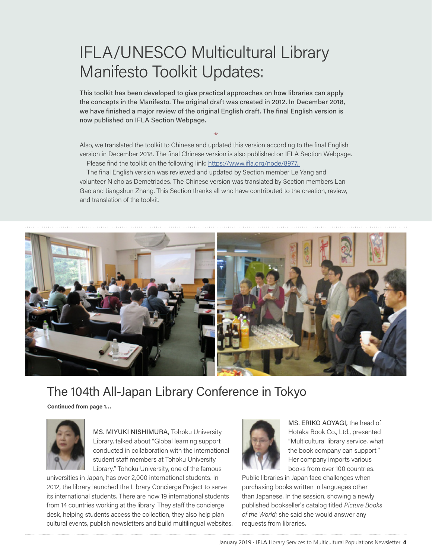# IFLA/UNESCO Multicultural Library Manifesto Toolkit Updates:

This toolkit has been developed to give practical approaches on how libraries can apply the concepts in the Manifesto. The original draft was created in 2012. In December 2018, we have finished a major review of the original English draft. The final English version is now published on IFLA Section Webpage.

Also, we translated the toolkit to Chinese and updated this version according to the final English version in December 2018. The final Chinese version is also published on IFLA Section Webpage.

 $\Leftrightarrow$ 

Please find the toolkit on the following link: https://www.ifla.org/node/8977.

The final English version was reviewed and updated by Section member Le Yang and volunteer Nicholas Demetriades. The Chinese version was translated by Section members Lan Gao and Jiangshun Zhang. This Section thanks all who have contributed to the creation, review, and translation of the toolkit.



### The 104th All-Japan Library Conference in Tokyo

**Continued from page 1…**



MS. MIYUKI NISHIMURA, Tohoku University Library, talked about "Global learning support conducted in collaboration with the international student staff members at Tohoku University Library." Tohoku University, one of the famous

universities in Japan, has over 2,000 international students. In 2012, the library launched the Library Concierge Project to serve its international students. There are now 19 international students from 14 countries working at the library. They staff the concierge desk, helping students access the collection, they also help plan cultural events, publish newsletters and build multilingual websites.



MS. ERIKO AOYAGI, the head of Hotaka Book Co., Ltd., presented "Multicultural library service, what the book company can support." Her company imports various books from over 100 countries.

Public libraries in Japan face challenges when purchasing books written in languages other than Japanese. In the session, showing a newly published bookseller's catalog titled *Picture Books of the World*; she said she would answer any requests from libraries.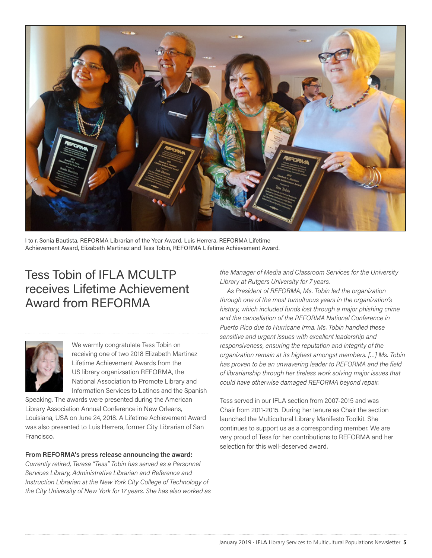

l to r. Sonia Bautista, REFORMA Librarian of the Year Award, Luis Herrera, REFORMA Lifetime Achievement Award, Elizabeth Martinez and Tess Tobin, REFORMA Lifetime Achievement Award.

### Tess Tobin of IFLA MCULTP receives Lifetime Achievement Award from REFORMA

We warmly congratulate Tess Tobin on receiving one of two 2018 Elizabeth Martinez Lifetime Achievement Awards from the US library organizsation REFORMA, the National Association to Promote Library and Information Services to Latinos and the Spanish

Speaking. The awards were presented during the American Library Association Annual Conference in New Orleans, Louisiana, USA on June 24, 2018. A Lifetime Achievement Award was also presented to Luis Herrera, former City Librarian of San Francisco.

#### **From REFORMA's press release announcing the award:**

*Currently retired, Teresa "Tess" Tobin has served as a Personnel Services Library, Administrative Librarian and Reference and Instruction Librarian at the New York City College of Technology of the City University of New York for 17 years. She has also worked as* 

*the Manager of Media and Classroom Services for the University Library at Rutgers University for 7 years.* 

*As President of REFORMA, Ms. Tobin led the organization through one of the most tumultuous years in the organization's history, which included funds lost through a major phishing crime and the cancellation of the REFORMA National Conference in Puerto Rico due to Hurricane Irma. Ms. Tobin handled these sensitive and urgent issues with excellent leadership and responsiveness, ensuring the reputation and integrity of the organization remain at its highest amongst members. […] Ms. Tobin has proven to be an unwavering leader to REFORMA and the field of librarianship through her tireless work solving major issues that could have otherwise damaged REFORMA beyond repair.*

Tess served in our IFLA section from 2007-2015 and was Chair from 2011-2015. During her tenure as Chair the section launched the Multicultural Library Manifesto Toolkit. She continues to support us as a corresponding member. We are very proud of Tess for her contributions to REFORMA and her selection for this well-deserved award.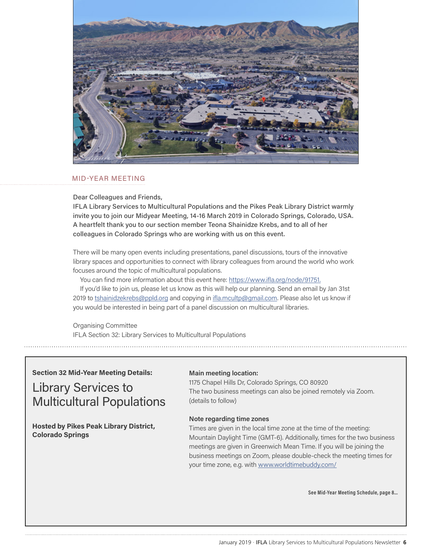

#### MID-YEAR MEETING

Dear Colleagues and Friends,

IFLA Library Services to Multicultural Populations and the Pikes Peak Library District warmly invite you to join our Midyear Meeting, 14-16 March 2019 in Colorado Springs, Colorado, USA. A heartfelt thank you to our section member Teona Shainidze Krebs, and to all of her colleagues in Colorado Springs who are working with us on this event.

There will be many open events including presentations, panel discussions, tours of the innovative library spaces and opportunities to connect with library colleagues from around the world who work focuses around the topic of multicultural populations.

You can find more information about this event here: <https://www.ifla.org/node/91751>.

If you'd like to join us, please let us know as this will help our planning. Send an email by Jan 31st 2019 to [tshainidzekrebs@ppld.org](mailto:tshainidzekrebs%40ppld.org?subject=) and copying in [ifla.mcultp@gmail.com.](mailto:ifla.mcultp%40gmail.com?subject=) Please also let us know if you would be interested in being part of a panel discussion on multicultural libraries.

Organising Committee IFLA Section 32: Library Services to Multicultural Populations

#### **Section 32 Mid-Year Meeting Details:**

Library Services to Multicultural Populations

**Hosted by Pikes Peak Library District, Colorado Springs**

#### **Main meeting location:**

1175 Chapel Hills Dr, Colorado Springs, CO 80920 The two business meetings can also be joined remotely via Zoom. (details to follow)

#### **Note regarding time zones**

Times are given in the local time zone at the time of the meeting: Mountain Daylight Time (GMT-6). Additionally, times for the two business meetings are given in Greenwich Mean Time. If you will be joining the business meetings on Zoom, please double-check the meeting times for your time zone, e.g. with [www.worldtimebuddy.com/](http://www.worldtimebuddy.com/)

**See Mid-Year Meeting Schedule, page 8…**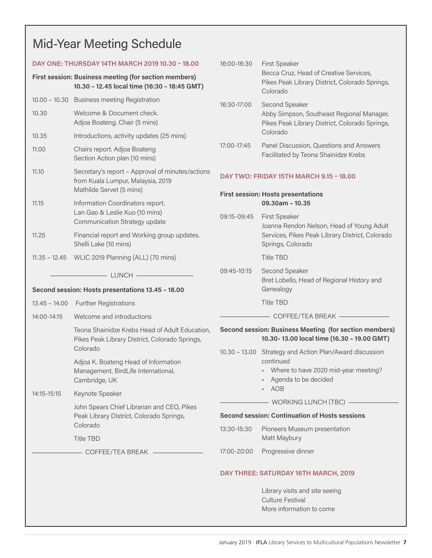### Mid-Year Meeting Schedule

| DAY ONE: THURSDAY 14TH MARCH 2019 10.30 - 18.00                                                       |                                                                                                                             | 16:00-16:30                                                          | <b>First Speaker</b><br>Becca Cruz, Head of Creative Services,<br>Pikes Peak Library District, Colorado Springs,<br>Colorado                      |  |
|-------------------------------------------------------------------------------------------------------|-----------------------------------------------------------------------------------------------------------------------------|----------------------------------------------------------------------|---------------------------------------------------------------------------------------------------------------------------------------------------|--|
| First session: Business meeting (for section members)<br>10.30 - 12.45 local time (16:30 - 18:45 GMT) |                                                                                                                             |                                                                      |                                                                                                                                                   |  |
|                                                                                                       | 10.00 - 10.30 Business meeting Registration                                                                                 | 16:30-17:00                                                          | Second Speaker<br>Abby Simpson, Southeast Regional Manager,<br>Pikes Peak Library District, Colorado Springs,<br>Colorado                         |  |
| 10.30                                                                                                 | Welcome & Document check.<br>Adjoa Boateng. Chair (5 mins)                                                                  |                                                                      |                                                                                                                                                   |  |
| 10.35                                                                                                 | Introductions, activity updates (25 mins)                                                                                   |                                                                      |                                                                                                                                                   |  |
| 11.00                                                                                                 | Chairs report. Adjoa Boateng<br>Section Action plan (10 mins)                                                               | 17:00-17:45                                                          | Panel Discussion, Questions and Answers<br>Facilitated by Teona Shainidze Krebs                                                                   |  |
| 11.10                                                                                                 | Secretary's report - Approval of minutes/actions<br>from Kuala Lumpur, Malaysia, 2019<br>Mathilde Servet (5 mins)           | DAY TWO: FRIDAY 15TH MARCH 9.15 - 18.00                              |                                                                                                                                                   |  |
| 11.15                                                                                                 | Information Coordinators report.<br>Lan Gao & Leslie Kuo (10 mins)<br>Communication Strategy update                         | <b>First session: Hosts presentations</b><br>$09.30$ am - 10.35      |                                                                                                                                                   |  |
|                                                                                                       |                                                                                                                             | 09:15-09:45                                                          | <b>First Speaker</b><br>Joanna Rendon Nelson, Head of Young Adult                                                                                 |  |
| 11.25                                                                                                 | Financial report and Working group updates.<br>Shelli Lake (10 mins)                                                        | Services, Pikes Peak Library District, Colorado<br>Springs, Colorado |                                                                                                                                                   |  |
|                                                                                                       | 11.35 - 12.45     WLIC 2019 Planning (ALL) (70 mins)                                                                        |                                                                      | <b>Title TBD</b>                                                                                                                                  |  |
| $\rule{1em}{0.15mm}$ LUNCH $-$<br>Second session: Hosts presentations 13.45 - 18.00                   |                                                                                                                             | 09:45-10:15                                                          | Second Speaker<br>Bret Lobello, Head of Regional History and<br>Genealogy                                                                         |  |
|                                                                                                       | 13.45 - 14.00 Further Registrations                                                                                         |                                                                      | <b>Title TBD</b>                                                                                                                                  |  |
| 14:00-14:15                                                                                           | Welcome and introductions                                                                                                   |                                                                      |                                                                                                                                                   |  |
| 14:15-15:15                                                                                           | Teona Shainidze Krebs Head of Adult Education,<br>Pikes Peak Library District, Colorado Springs,                            |                                                                      | Second session: Business Meeting (for section members)<br>10.30-13.00 local time (16.30 - 19.00 GMT)                                              |  |
|                                                                                                       | Colorado<br>Adjoa K. Boateng Head of Information<br>Management, BirdLife International,<br>Cambridge, UK<br>Keynote Speaker |                                                                      | 10.30 - 13.00 Strategy and Action Plan/Award discussion<br>continued<br>• Where to have 2020 mid-year meeting?<br>• Agenda to be decided<br>- AOB |  |
|                                                                                                       | John Spears Chief Librarian and CEO, Pikes<br>Peak Library District, Colorado Springs,<br>Colorado<br><b>Title TBD</b>      |                                                                      | - WORKING LUNCH (TBC) -                                                                                                                           |  |
|                                                                                                       |                                                                                                                             | <b>Second session: Continuation of Hosts sessions</b>                |                                                                                                                                                   |  |
|                                                                                                       |                                                                                                                             | 13:30-15:30                                                          | Pioneers Museum presentation<br>Matt Maybury                                                                                                      |  |
|                                                                                                       |                                                                                                                             | 17:00-20:00                                                          | Progressive dinner                                                                                                                                |  |
|                                                                                                       |                                                                                                                             |                                                                      | DAY THREE: SATURDAY 16TH MARCH, 2019                                                                                                              |  |
|                                                                                                       |                                                                                                                             |                                                                      | Library visits and site seeing<br><b>Culture Festival</b><br>More information to come                                                             |  |